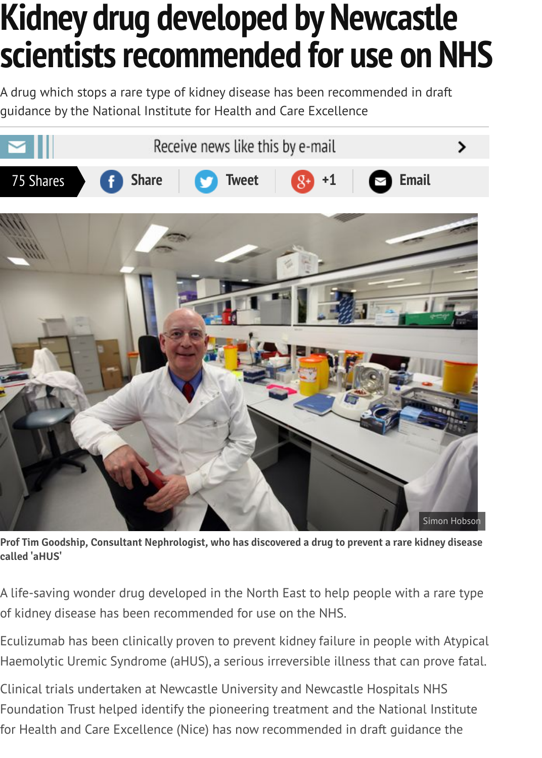

Prof Tim Goodship, Consultant Nephrologist, who has discovered a drug to prevent a rare kidney diseas **called 'aHUS'**

A life-saving wonder drug developed in the North East to help people with a rare typ of kidney disease has been recommended for use on the NHS.

Eculizumab has been clinically proven to prevent kidney failure in people with Atypic Haemolytic Uremic Syndrome (aHUS), a serious irreversible illness that can prove fat.

Clinical trials undertaken at Newcastle University and Newcastle Hospitals NHS Foundation Trust helped identify the pioneering treatment and the National Institute for Health and Care Excellence (Nice) has now recommended in draft guidance the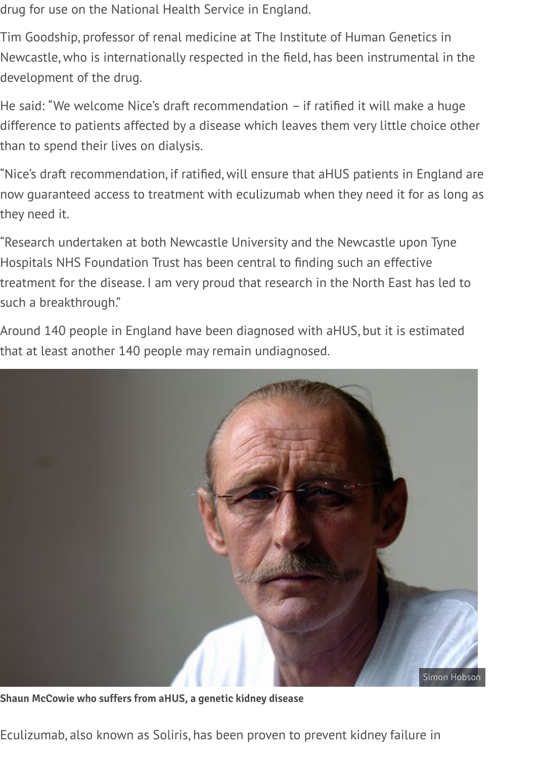drug for use on the National Health Service in England.

Tim Goodship, professor of renal medicine at The Institute of Human Genetics in Newcastle, who is internationally respected in the field, has been instrumental in the development of the drug.

He said: "We welcome Nice's draft recommendation – if ratified it will make a huge difference to patients affected by a disease which leaves them very little choice other than to spend their lives on dialysis.

"Nice's draft recommendation, if ratified, will ensure that aHUS patients in England are now guaranteed access to treatment with eculizumab when they need it for as long as they need it.

"Research undertaken at both Newcastle University and the Newcastle upon Tyne Hospitals NHS Foundation Trust has been central to finding such an effective treatment for the disease. I am very proud that research in the North East has led to such a breakthrough."

Around 140 people in England have been diagnosed with aHUS, but it is estimated that at least another 140 people may remain undiagnosed.



**Shaun McCowie who suffers from aHUS, a genetic kidney disease**

Eculizumab, also known as Soliris, has been proven to prevent kidney failure in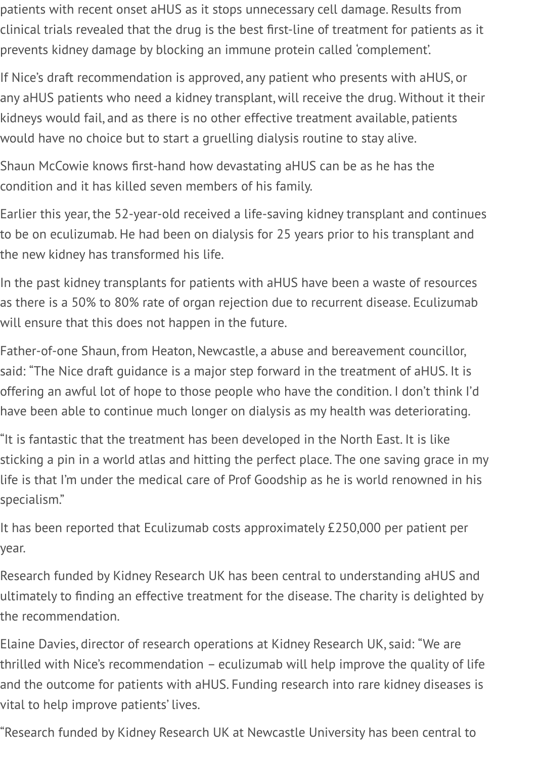patients with recent onset aHUS as it stops unnecessary cell damage. Results from clinical trials revealed that the drug is the best first-line of treatment for patients as it prevents kidney damage by blocking an immune protein called 'complement'.

If Nice's draft recommendation is approved, any patient who presents with aHUS, or any aHUS patients who need a kidney transplant, will receive the drug. Without it their kidneys would fail, and as there is no other effective treatment available, patients would have no choice but to start a gruelling dialysis routine to stay alive.

Shaun McCowie knows first-hand how devastating aHUS can be as he has the condition and it has killed seven members of his family.

Earlier this year, the 52-year-old received a life-saving kidney transplant and continues to be on eculizumab. He had been on dialysis for 25 years prior to his transplant and the new kidney has transformed his life.

In the past kidney transplants for patients with aHUS have been a waste of resources as there is a 50% to 80% rate of organ rejection due to recurrent disease. Eculizumab will ensure that this does not happen in the future.

Father-of-one Shaun, from Heaton, Newcastle, a abuse and bereavement councillor, said: "The Nice draft guidance is a major step forward in the treatment of aHUS. It is offering an awful lot of hope to those people who have the condition. I don't think I'd have been able to continue much longer on dialysis as my health was deteriorating.

"It is fantastic that the treatment has been developed in the North East. It is like sticking a pin in a world atlas and hitting the perfect place. The one saving grace in my life is that I'm under the medical care of Prof Goodship as he is world renowned in his specialism."

It has been reported that Eculizumab costs approximately £250,000 per patient per year.

Research funded by Kidney Research UK has been central to understanding aHUS and ultimately to finding an effective treatment for the disease. The charity is delighted by the recommendation.

Elaine Davies, director of research operations at Kidney Research UK, said: "We are thrilled with Nice's recommendation – eculizumab will help improve the quality of life and the outcome for patients with aHUS. Funding research into rare kidney diseases is vital to help improve patients' lives.

"Research funded by Kidney Research UK at Newcastle University has been central to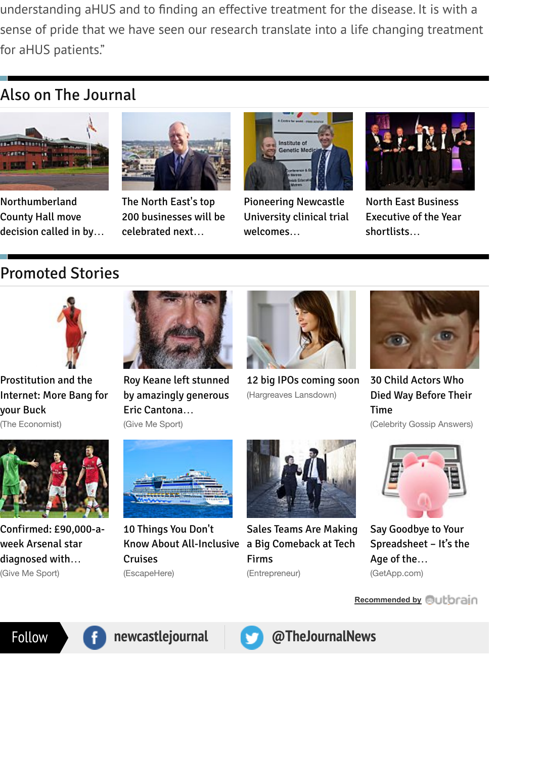

Northumberland County Hall move decision called in by…



The North East's top 200 businesses will be celebrated next…



Pioneering Newcastle University clinical trial welcomes…



North East Business Executive of the Year shortlists…

# Promoted Stories



Prostitution and the Internet: More Bang for your Buck

(The Economist)



Roy Keane left stunned by amazingly generous Eric Cantona… (Give Me Sport)



12 big IPOs coming soon (Hargreaves Lansdown)



30 Child Actors Who Died Way Before Their Time

(Celebrity Gossip Answers)



[Confirmed: £90,000-a](http://www.economist.com/news/briefing/21611074-how-new-technology-shaking-up-oldest-business-more-bang-your-buck)week Arsenal star diagnosed with…

(Give Me Sport)



10 Things You Don't [Know About All-Inclusive](http://www.givemesport.com/512462-roy-keane-reveals-touching-eric-cantona-gesture) a Big Comeback at Tech **Cruises** (EscapeHere)



[Sales Teams Are Making](http://www.hl.co.uk/news/articles/the-top-ipos-of-2014) Firms (Entrepreneur)



Say Goodbye to Your [Spreadsheet – It's the](http://celebs.answers.com/scandals/30-child-actors-who-tragically-died-young) Age of the… (GetApp.com)

**Rec[ommended by](http://www.getapp.com/blog/accounting-app/)**